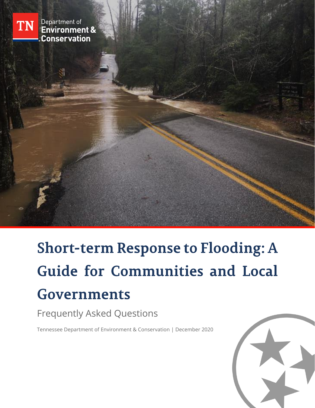

Department of<br>Environment & **Conservation** 

**Short-term Response to Flooding: A Guide for Communities and Local Governments** 

Frequently Asked Questions

Tennessee Department of Environment & Conservation | December 2020

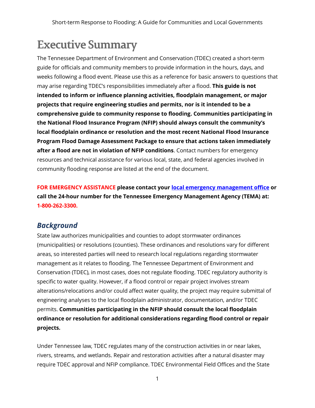# **Executive Summary**

The Tennessee Department of Environment and Conservation (TDEC) created a short-term guide for officials and community members to provide information in the hours, days, and weeks following a flood event. Please use this as a reference for basic answers to questions that may arise regarding TDEC's responsibilities immediately after a flood. **This guide is not intended to inform or influence planning activities, floodplain management, or major projects that require engineering studies and permits, nor is it intended to be a comprehensive guide to community response to flooding. Communities participating in the National Flood Insurance Program (NFIP) should always consult the community's local floodplain ordinance or resolution and the most recent National Flood Insurance Program Flood Damage Assessment Package to ensure that actions taken immediately after a flood are not in violation of NFIP conditions**. Contact numbers for emergency resources and technical assistance for various local, state, and federal agencies involved in community flooding response are listed at the end of the document.

**FOR EMERGENCY ASSISTANCE please contact your [local emergency management office](https://www.tn.gov/tema/prepare/regional-ema-contacts.html) or call the 24-hour number for the Tennessee Emergency Management Agency (TEMA) at: 1-800-262-3300.**

## *Background*

State law authorizes municipalities and counties to adopt stormwater ordinances (municipalities) or resolutions (counties). These ordinances and resolutions vary for different areas, so interested parties will need to research local regulations regarding stormwater management as it relates to flooding. The Tennessee Department of Environment and Conservation (TDEC), in most cases, does not regulate flooding. TDEC regulatory authority is specific to water quality. However, if a flood control or repair project involves stream alterations/relocations and/or could affect water quality, the project may require submittal of engineering analyses to the local floodplain administrator, documentation, and/or TDEC permits. **Communities participating in the NFIP should consult the local floodplain ordinance or resolution for additional considerations regarding flood control or repair projects.**

Under Tennessee law, TDEC regulates many of the construction activities in or near lakes, rivers, streams, and wetlands. Repair and restoration activities after a natural disaster may require TDEC approval and NFIP compliance. TDEC Environmental Field Offices and the State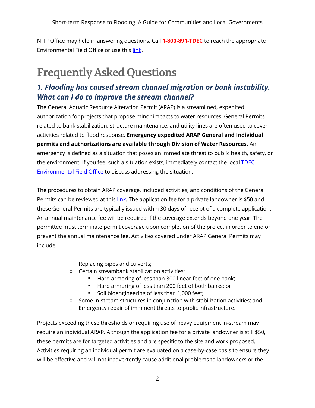NFIP Office may help in answering questions. Call **1-800-891-TDEC** to reach the appropriate Environmental Field Office or use thi[s link.](https://www.tn.gov/environment/contacts/about-field-offices.html)

# **Frequently Asked Questions**

# *1. Flooding has caused stream channel migration or bank instability. What can I do to improve the stream channel?*

The General Aquatic Resource Alteration Permit (ARAP) is a streamlined, expedited authorization for projects that propose minor impacts to water resources. General Permits related to bank stabilization, structure maintenance, and utility lines are often used to cover activities related to flood response. **Emergency expedited ARAP General and Individual permits and authorizations are available through Division of Water Resources.** An emergency is defined as a situation that poses an immediate threat to public health, safety, or the environment. If you feel such a situation exists, immediately contact the local **TDEC** [Environmental Field Office](https://www.tn.gov/content/dam/tn/environment/documents/EFO_Map_Oct2019.pdf) to discuss addressing the situation.

The procedures to obtain ARAP coverage, included activities, and conditions of the General Permits can be reviewed at this [link.](https://www.tn.gov/content/dam/tn/environment/water/natural-resources-unit/water_permit_arap-gp_emergency-infrastructure-repair-2020-2025.pdf) The application fee for a private landowner is \$50 and these General Permits are typically issued within 30 days of receipt of a complete application. An annual maintenance fee will be required if the coverage extends beyond one year. The permittee must terminate permit coverage upon completion of the project in order to end or prevent the annual maintenance fee. Activities covered under ARAP General Permits may include:

- o Replacing pipes and culverts;
- o Certain streambank stabilization activities:
	- Hard armoring of less than 300 linear feet of one bank;
	- Hard armoring of less than 200 feet of both banks; or
	- Soil bioengineering of less than 1,000 feet;
- o Some in-stream structures in conjunction with stabilization activities; and
- o Emergency repair of imminent threats to public infrastructure.

Projects exceeding these thresholds or requiring use of heavy equipment in-stream may require an individual ARAP. Although the application fee for a private landowner is still \$50, these permits are for targeted activities and are specific to the site and work proposed. Activities requiring an individual permit are evaluated on a case-by-case basis to ensure they will be effective and will not inadvertently cause additional problems to landowners or the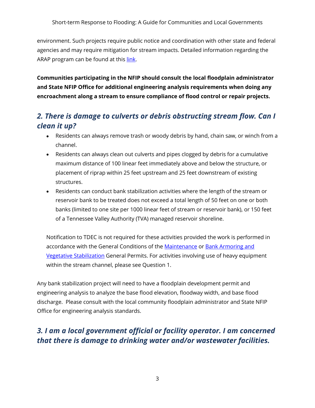environment. Such projects require public notice and coordination with other state and federal agencies and may require mitigation for stream impacts. Detailed information regarding the ARAP program can be found at this [link.](https://www.tn.gov/environment/permit-permits/water-permits1/aquatic-resource-alteration-permit--arap-.html)

**Communities participating in the NFIP should consult the local floodplain administrator and State NFIP Office for additional engineering analysis requirements when doing any encroachment along a stream to ensure compliance of flood control or repair projects.**

# *2. There is damage to culverts or debris obstructing stream flow. Can I clean it up?*

- Residents can always remove trash or woody debris by hand, chain saw, or winch from a channel.
- Residents can always clean out culverts and pipes clogged by debris for a cumulative maximum distance of 100 linear feet immediately above and below the structure, or placement of riprap within 25 feet upstream and 25 feet downstream of existing structures.
- Residents can conduct bank stabilization activities where the length of the stream or reservoir bank to be treated does not exceed a total length of 50 feet on one or both banks (limited to one site per 1000 linear feet of stream or reservoir bank), or 150 feet of a Tennessee Valley Authority (TVA) managed reservoir shoreline.

Notification to TDEC is not required for these activities provided the work is performed in accordance with the General Conditions of the [Maintenance](https://www.tn.gov/content/dam/tn/environment/water/natural-resources-unit/water_permit_arap-gp_maintenance-2020-2025.pdf) or Bank Armoring and [Vegetative Stabilization](https://www.tn.gov/content/dam/tn/environment/water/natural-resources-unit/water_permit_arap-gp_bank-armoring-vegetative-stablization-2020-2025.pdf) General Permits. For activities involving use of heavy equipment within the stream channel, please see Question 1.

Any bank stabilization project will need to have a floodplain development permit and engineering analysis to analyze the base flood elevation, floodway width, and base flood discharge. Please consult with the local community floodplain administrator and State NFIP Office for engineering analysis standards.

# *3. I am a local government official or facility operator. I am concerned that there is damage to drinking water and/or wastewater facilities.*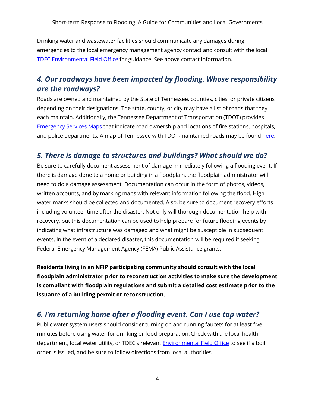Drinking water and wastewater facilities should communicate any damages during emergencies to the local emergency management agency contact and consult with the local [TDEC Environmental Field Office](https://www.tn.gov/environment/contacts/about-field-offices.html) for guidance. See above contact information.

## *4. Our roadways have been impacted by flooding. Whose responsibility are the roadways?*

Roads are owned and maintained by the State of Tennessee, counties, cities, or private citizens depending on their designations. The state, county, or city may have a list of roads that they each maintain. Additionally, the Tennessee Department of Transportation (TDOT) provides [Emergency Services Maps](https://www.tn.gov/tdot/driver-how-do-i/look-at-or-order-state-maps/maps/emergency-management-maps1.html) that indicate road ownership and locations of fire stations, hospitals, and police departments. A map of Tennessee with TDOT-maintained roads may be found [here.](https://www.tn.gov/content/dam/tn/tdot/maps/state-maps/2020_Transportation_Map.pdf)

## *5. There is damage to structures and buildings? What should we do?*

Be sure to carefully document assessment of damage immediately following a flooding event. If there is damage done to a home or building in a floodplain, the floodplain administrator will need to do a damage assessment. Documentation can occur in the form of photos, videos, written accounts, and by marking maps with relevant information following the flood. High water marks should be collected and documented. Also, be sure to document recovery efforts including volunteer time after the disaster. Not only will thorough documentation help with recovery, but this documentation can be used to help prepare for future flooding events by indicating what infrastructure was damaged and what might be susceptible in subsequent events. In the event of a declared disaster, this documentation will be required if seeking Federal Emergency Management Agency (FEMA) Public Assistance grants.

**Residents living in an NFIP participating community should consult with the local floodplain administrator prior to reconstruction activities to make sure the development is compliant with floodplain regulations and submit a detailed cost estimate prior to the issuance of a building permit or reconstruction.**

## *6. I'm returning home after a flooding event. Can I use tap water?*

Public water system users should consider turning on and running faucets for at least five minutes before using water for drinking or food preparation. Check with the local health department, local water utility, or TDEC's relevant [Environmental Field Office](https://www.tn.gov/environment/contacts/about-field-offices.html) to see if a boil order is issued, and be sure to follow directions from local authorities*.*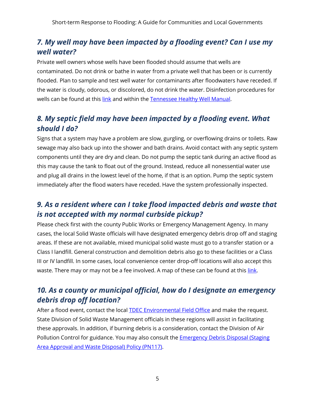# *7. My well may have been impacted by a flooding event? Can I use my well water?*

Private well owners whose wells have been flooded should assume that wells are contaminated. Do not drink or bathe in water from a private well that has been or is currently flooded. Plan to sample and test well water for contaminants after floodwaters have receded. If the water is cloudy, odorous, or discolored, do not drink the water. Disinfection procedures for wells can be found at this [link](https://www.tn.gov/environment/program-areas/wr-water-resources/water-quality/well-water.html) and within the [Tennessee Healthy Well Manual.](https://www.tn.gov/content/dam/tn/environment/water/drinking-water-unit/TnHealthyWell.pdf)

# *8. My septic field may have been impacted by a flooding event. What should I do?*

Signs that a system may have a problem are slow, gurgling, or overflowing drains or toilets. Raw sewage may also back up into the shower and bath drains. Avoid contact with any septic system components until they are dry and clean. Do not pump the septic tank during an active flood as this may cause the tank to float out of the ground. Instead, reduce all nonessential water use and plug all drains in the lowest level of the home, if that is an option. Pump the septic system immediately after the flood waters have receded. Have the system professionally inspected.

# *9. As a resident where can I take flood impacted debris and waste that is not accepted with my normal curbside pickup?*

Please check first with the county Public Works or Emergency Management Agency. In many cases, the local Solid Waste officials will have designated emergency debris drop off and staging areas. If these are not available, mixed municipal solid waste must go to a transfer station or a Class I landfill. General construction and demolition debris also go to these facilities or a Class III or IV landfill. In some cases, local convenience center drop-off locations will also accept this waste. There may or may not be a fee involved. A map of these can be found at this [link.](https://www.tn.gov/environment/program-areas/solid-waste/maps.html)

# *10. As a county or municipal official, how do I designate an emergency debris drop off location?*

After a flood event, contact the local **TDEC Environmental Field Office** and make the request. State Division of Solid Waste Management officials in these regions will assist in facilitating these approvals. In addition, if burning debris is a consideration, contact the Division of Air Pollution Control for guidance. You may also consult the Emergency Debris [Disposal \(Staging](https://www.tn.gov/content/dam/tn/environment/solid-waste/documents/solid-waste/sw-solid-waste-policy-manual_2020_Updates.pdf)  Area [Approval and Waste Disposal\) Policy](https://www.tn.gov/content/dam/tn/environment/solid-waste/documents/solid-waste/sw-solid-waste-policy-manual_2020_Updates.pdf) (PN117).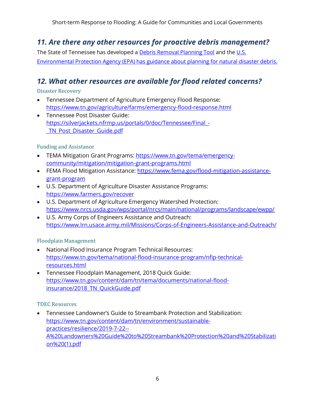# *11. Are there any other resources for proactive debris management?*

The State of Tennessee has developed a [Debris Removal Planning Tool](https://www.tn.gov/environment/program-areas/solid-waste/2015-2025-solid-waste-management-plan/disaster-debris-management.html) and the U.S. [Environmental Protection Agency \(EPA\) has guidance about planning for natural disaster debris.](https://www.epa.gov/homeland-security-waste/guidance-about-planning-natural-disaster-debris#:~:text=The%202019%20%E2%80%9CPlanning%20for%20Natural,plans%2C%20which%20EPA%20strongly%20encourages.)

# *12. What other resources are available for flood related concerns?*

Disaster Recovery

- Tennessee Department of Agriculture Emergency Flood Response: <https://www.tn.gov/agriculture/farms/emergency-flood-response.html>
- Tennessee Post Disaster Guide: [https://silverjackets.nfrmp.us/portals/0/doc/Tennessee/Final\\_-](https://silverjackets.nfrmp.us/portals/0/doc/Tennessee/Final_-_TN_Post_Disaster_Guide.pdf) [\\_TN\\_Post\\_Disaster\\_Guide.pdf](https://silverjackets.nfrmp.us/portals/0/doc/Tennessee/Final_-_TN_Post_Disaster_Guide.pdf)

#### Funding and Assistance

- TEMA Mitigation Grant Programs: [https://www.tn.gov/tema/emergency](https://www.tn.gov/tema/emergency-community/mitigation/mitigation-grant-programs.html)[community/mitigation/mitigation-grant-programs.html](https://www.tn.gov/tema/emergency-community/mitigation/mitigation-grant-programs.html)
- FEMA Flood Mitigation Assistance: [https://www.fema.gov/flood-mitigation-assistance](https://www.fema.gov/flood-mitigation-assistance-grant-program)[grant-program](https://www.fema.gov/flood-mitigation-assistance-grant-program)
- U.S. Department of Agriculture Disaster Assistance Programs: <https://www.farmers.gov/recover>
- U.S. Department of Agriculture Emergency Watershed Protection: <https://www.nrcs.usda.gov/wps/portal/nrcs/main/national/programs/landscape/ewpp/>
- U.S. Army Corps of Engineers Assistance and Outreach: <https://www.lrn.usace.army.mil/Missions/Corps-of-Engineers-Assistance-and-Outreach/>

### Floodplain Management

- National Flood Insurance Program Technical Resources: [https://www.tn.gov/tema/national-flood-insurance-program/nfip-technical](https://www.tn.gov/tema/national-flood-insurance-program/nfip-technical-resources.html)[resources.html](https://www.tn.gov/tema/national-flood-insurance-program/nfip-technical-resources.html)
- Tennessee Floodplain Management, 2018 Quick Guide: [https://www.tn.gov/content/dam/tn/tema/documents/national-flood](https://www.tn.gov/content/dam/tn/tema/documents/national-flood-insurance/2018_TN_QuickGuide.pdf)insurance/2018 TN QuickGuide.pdf

### TDEC Resources

• Tennessee Landowner's Guide to Streambank Protection and Stabilization: [https://www.tn.gov/content/dam/tn/environment/sustainable](https://www.tn.gov/content/dam/tn/environment/sustainable-practices/resilience/2019-7-22--A%20Landowners%20Guide%20to%20Streambank%20Protection%20and%20Stabilization%20(1).pdf)[practices/resilience/2019-7-22--](https://www.tn.gov/content/dam/tn/environment/sustainable-practices/resilience/2019-7-22--A%20Landowners%20Guide%20to%20Streambank%20Protection%20and%20Stabilization%20(1).pdf) [A%20Landowners%20Guide%20to%20Streambank%20Protection%20and%20Stabilizati](https://www.tn.gov/content/dam/tn/environment/sustainable-practices/resilience/2019-7-22--A%20Landowners%20Guide%20to%20Streambank%20Protection%20and%20Stabilization%20(1).pdf) [on%20\(1\).pdf](https://www.tn.gov/content/dam/tn/environment/sustainable-practices/resilience/2019-7-22--A%20Landowners%20Guide%20to%20Streambank%20Protection%20and%20Stabilization%20(1).pdf)